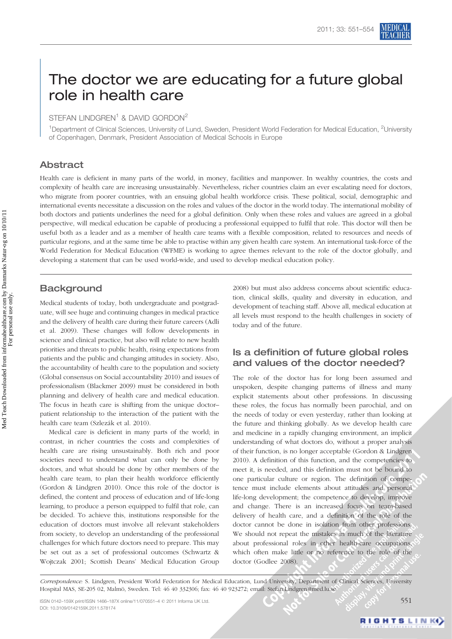# The doctor we are educating for a future global role in health care

STEFAN LINDGREN<sup>1</sup> & DAVID GORDON<sup>2</sup>

<sup>1</sup>Department of Clinical Sciences, University of Lund, Sweden, President World Federation for Medical Education, <sup>2</sup>University of Copenhagen, Denmark, President Association of Medical Schools in Europe

## Abstract

Health care is deficient in many parts of the world, in money, facilities and manpower. In wealthy countries, the costs and complexity of health care are increasing unsustainably. Nevertheless, richer countries claim an ever escalating need for doctors, who migrate from poorer countries, with an ensuing global health workforce crisis. These political, social, demographic and international events necessitate a discussion on the roles and values of the doctor in the world today. The international mobility of both doctors and patients underlines the need for a global definition. Only when these roles and values are agreed in a global perspective, will medical education be capable of producing a professional equipped to fulfil that role. This doctor will then be useful both as a leader and as a member of health care teams with a flexible composition, related to resources and needs of particular regions, and at the same time be able to practise within any given health care system. An international task-force of the World Federation for Medical Education (WFME) is working to agree themes relevant to the role of the doctor globally, and developing a statement that can be used world-wide, and used to develop medical education policy.

### **Background**

Medical students of today, both undergraduate and postgraduate, will see huge and continuing changes in medical practice and the delivery of health care during their future careers (Adli et al. 2009). These changes will follow developments in science and clinical practice, but also will relate to new health priorities and threats to public health, rising expectations from patients and the public and changing attitudes in society. Also, the accountability of health care to the population and society (Global consensus on Social accountability 2010) and issues of professionalism (Blackmer 2009) must be considered in both planning and delivery of health care and medical education. The focus in heath care is shifting from the unique doctor– patient relationship to the interaction of the patient with the health care team (Szlezák et al. 2010).

Medical care is deficient in many parts of the world; in contrast, in richer countries the costs and complexities of health care are rising unsustainably. Both rich and poor societies need to understand what can only be done by doctors, and what should be done by other members of the health care team, to plan their health workforce efficiently (Gordon & Lindgren 2010). Once this role of the doctor is defined, the content and process of education and of life-long learning, to produce a person equipped to fulfil that role, can be decided. To achieve this, institutions responsible for the education of doctors must involve all relevant stakeholders from society, to develop an understanding of the professional challenges for which future doctors need to prepare. This may be set out as a set of professional outcomes (Schwartz & Wojtczak 2001; Scottish Deans' Medical Education Group

2008) but must also address concerns about scientific education, clinical skills, quality and diversity in education, and development of teaching staff. Above all, medical education at all levels must respond to the health challenges in society of today and of the future.

### Is a definition of future global roles and values of the doctor needed?

The role of the doctor has for long been assumed and unspoken, despite changing patterns of illness and many explicit statements about other professions. In discussing these roles, the focus has normally been parochial, and on the needs of today or even yesterday, rather than looking at the future and thinking globally. As we develop health care and medicine in a rapidly changing environment, an implicit understanding of what doctors do, without a proper analysis of their function, is no longer acceptable (Gordon & Lindgren 2010). A definition of this function, and the competencies to meet it, is needed, and this definition must not be bound to one particular culture or region. The definition of competence must include elements about attitudes and personal life-long development; the competence to develop, improve and change. There is an increased focus on team-based delivery of health care, and a definition of the role of the doctor cannot be done in isolation from other professions. We should not repeat the mistakes in much of the literature about professional roles in other health-care occupations, which often make little or no reference to the role of the doctor (Godlee 2008).

Correspondence: S. Lindgren, President World Federation for Medical Education, Lund University, Department of Clinical Sciences, University Hospital MAS, SE-205 02, Malmö, Sweden. Tel: 46 40 332306; fax: 46 40 923272; email: Stefan.Lindgren@med.lu.se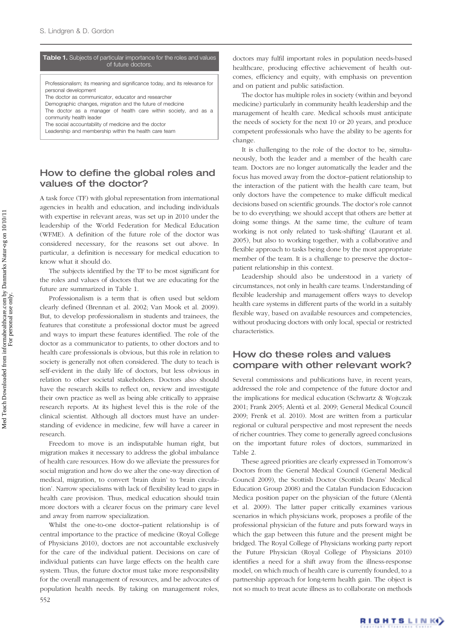#### Table 1. Subjects of particular importance for the roles and values of future doctors.

Professionalism; its meaning and significance today, and its relevance for personal development

The doctor as communicator, educator and researcher

Demographic changes, migration and the future of medicine

The doctor as a manager of health care within society, and as a community health leader

The social accountability of medicine and the doctor

Leadership and membership within the health care team

### How to define the global roles and values of the doctor?

A task force (TF) with global representation from international agencies in health and education, and including individuals with expertise in relevant areas, was set up in 2010 under the leadership of the World Federation for Medical Education (WFME). A definition of the future role of the doctor was considered necessary, for the reasons set out above. In particular, a definition is necessary for medical education to know what it should do.

The subjects identified by the TF to be most significant for the roles and values of doctors that we are educating for the future are summarized in Table 1.

Professionalism is a term that is often used but seldom clearly defined (Brennan et al. 2002; Van Mook et al. 2009). But, to develop professionalism in students and trainees, the features that constitute a professional doctor must be agreed and ways to impart these features identified. The role of the doctor as a communicator to patients, to other doctors and to health care professionals is obvious, but this role in relation to society is generally not often considered. The duty to teach is self-evident in the daily life of doctors, but less obvious in relation to other societal stakeholders. Doctors also should have the research skills to reflect on, review and investigate their own practice as well as being able critically to appraise research reports. At its highest level this is the role of the clinical scientist. Although all doctors must have an understanding of evidence in medicine, few will have a career in research.

Freedom to move is an indisputable human right, but migration makes it necessary to address the global imbalance of health care resources. How do we alleviate the pressures for social migration and how do we alter the one-way direction of medical, migration, to convert 'brain drain' to 'brain circulation'. Narrow specialisms with lack of flexibility lead to gaps in health care provision. Thus, medical education should train more doctors with a clearer focus on the primary care level and away from narrow specialization.

Whilst the one-to-one doctor–patient relationship is of central importance to the practice of medicine (Royal College of Physicians 2010), doctors are not accountable exclusively for the care of the individual patient. Decisions on care of individual patients can have large effects on the health care system. Thus, the future doctor must take more responsibility for the overall management of resources, and be advocates of population health needs. By taking on management roles,

doctors may fulfil important roles in population needs-based healthcare, producing effective achievement of health outcomes, efficiency and equity, with emphasis on prevention and on patient and public satisfaction.

The doctor has multiple roles in society (within and beyond medicine) particularly in community health leadership and the management of health care. Medical schools must anticipate the needs of society for the next 10 or 20 years, and produce competent professionals who have the ability to be agents for change.

It is challenging to the role of the doctor to be, simultaneously, both the leader and a member of the health care team. Doctors are no longer automatically the leader and the focus has moved away from the doctor–patient relationship to the interaction of the patient with the health care team, but only doctors have the competence to make difficult medical decisions based on scientific grounds. The doctor's role cannot be to do everything; we should accept that others are better at doing some things. At the same time, the culture of team working is not only related to 'task-shifting' (Laurant et al. 2005), but also to working together, with a collaborative and flexible approach to tasks being done by the most appropriate member of the team. It is a challenge to preserve the doctor– patient relationship in this context.

Leadership should also be understood in a variety of circumstances, not only in health care teams. Understanding of flexible leadership and management offers ways to develop health care systems in different parts of the world in a suitably flexible way, based on available resources and competencies, without producing doctors with only local, special or restricted characteristics.

### How do these roles and values compare with other relevant work?

Several commissions and publications have, in recent years, addressed the role and competence of the future doctor and the implications for medical education (Schwartz & Wojtczak 2001; Frank 2005; Alenta` et al. 2009; General Medical Council 2009; Frenk et al. 2010). Most are written from a particular regional or cultural perspective and most represent the needs of richer countries. They come to generally agreed conclusions on the important future roles of doctors, summarized in Table 2.

These agreed priorities are clearly expressed in Tomorrow's Doctors from the General Medical Council (General Medical Council 2009), the Scottish Doctor (Scottish Deans' Medical Education Group 2008) and the Catalan Fundacion Educacion Medica position paper on the physician of the future (Alenta` et al. 2009). The latter paper critically examines various scenarios in which physicians work, proposes a profile of the professional physician of the future and puts forward ways in which the gap between this future and the present might be bridged. The Royal College of Physicians working party report the Future Physician (Royal College of Physicians 2010) identifies a need for a shift away from the illness-response model, on which much of health care is currently founded, to a partnership approach for long-term health gain. The object is not so much to treat acute illness as to collaborate on methods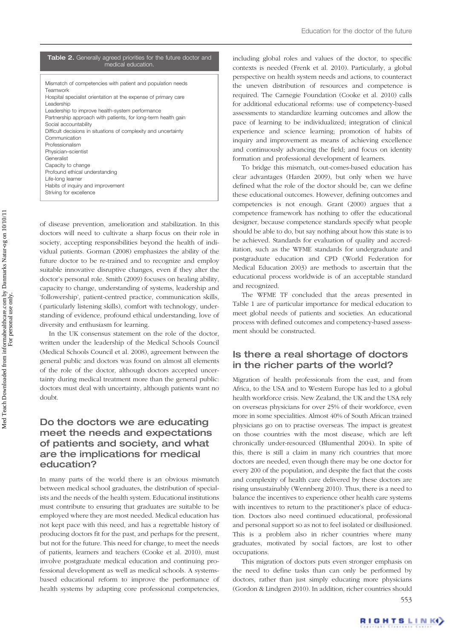#### Table 2. Generally agreed priorities for the future doctor and medical education.

Med Teach Downloaded from informahealthcare.com by Danmarks Natur-og on 10/10/11 Med Teach Downloaded from informahealthcare.com by Danmarks Natur-og on 10/10/1<br>For personal use only. For personal use only.

of disease prevention, amelioration and stabilization. In this doctors will need to cultivate a sharp focus on their role in society, accepting responsibilities beyond the health of individual patients. Gorman (2008) emphasizes the ability of the future doctor to be re-trained and to recognize and employ suitable innovative disruptive changes, even if they alter the doctor's personal role. Smith (2009) focuses on healing ability, capacity to change, understanding of systems, leadership and 'followership', patient-centred practice, communication skills, (particularly listening skills), comfort with technology, understanding of evidence, profound ethical understanding, love of diversity and enthusiasm for learning.

In the UK consensus statement on the role of the doctor, written under the leadership of the Medical Schools Council (Medical Schools Council et al. 2008), agreement between the general public and doctors was found on almost all elements of the role of the doctor, although doctors accepted uncertainty during medical treatment more than the general public: doctors must deal with uncertainty, although patients want no doubt.

## Do the doctors we are educating meet the needs and expectations of patients and society, and what are the implications for medical education?

In many parts of the world there is an obvious mismatch between medical school graduates, the distribution of specialists and the needs of the health system. Educational institutions must contribute to ensuring that graduates are suitable to be employed where they are most needed. Medical education has not kept pace with this need, and has a regrettable history of producing doctors fit for the past, and perhaps for the present, but not for the future. This need for change, to meet the needs of patients, learners and teachers (Cooke et al. 2010), must involve postgraduate medical education and continuing professional development as well as medical schools. A systemsbased educational reform to improve the performance of health systems by adapting core professional competencies,

including global roles and values of the doctor, to specific contexts is needed (Frenk et al. 2010). Particularly, a global perspective on health system needs and actions, to counteract the uneven distribution of resources and competence is required. The Carnegie Foundation (Cooke et al. 2010) calls for additional educational reforms: use of competency-based assessments to standardize learning outcomes and allow the pace of learning to be individualized; integration of clinical experience and science learning; promotion of habits of inquiry and improvement as means of achieving excellence and continuously advancing the field; and focus on identity formation and professional development of learners.

To bridge this mismatch, out-comes-based education has clear advantages (Harden 2009), but only when we have defined what the role of the doctor should be, can we define these educational outcomes. However, defining outcomes and competencies is not enough. Grant (2000) argues that a competence framework has nothing to offer the educational designer, because competence standards specify what people should be able to do, but say nothing about how this state is to be achieved. Standards for evaluation of quality and accreditation, such as the WFME standards for undergraduate and postgraduate education and CPD (World Federation for Medical Education 2003) are methods to ascertain that the educational process worldwide is of an acceptable standard and recognized.

The WFME TF concluded that the areas presented in Table 1 are of particular importance for medical education to meet global needs of patients and societies. An educational process with defined outcomes and competency-based assessment should be constructed.

### Is there a real shortage of doctors in the richer parts of the world?

Migration of health professionals from the east, and from Africa, to the USA and to Western Europe has led to a global health workforce crisis. New Zealand, the UK and the USA rely on overseas physicians for over 25% of their workforce, even more in some specialities. Almost 40% of South African trained physicians go on to practise overseas. The impact is greatest on those countries with the most disease, which are left chronically under-resourced (Blumenthal 2004). In spite of this, there is still a claim in many rich countries that more doctors are needed, even though there may be one doctor for every 200 of the population, and despite the fact that the costs and complexity of health care delivered by these doctors are rising unsustainably (Wennberg 2010). Thus, there is a need to balance the incentives to experience other health care systems with incentives to return to the practitioner's place of education. Doctors also need continued educational, professional and personal support so as not to feel isolated or disillusioned. This is a problem also in richer countries where many graduates, motivated by social factors, are lost to other occupations.

This migration of doctors puts even stronger emphasis on the need to define tasks than can only be performed by doctors, rather than just simply educating more physicians (Gordon & Lindgren 2010). In addition, richer countries should 553